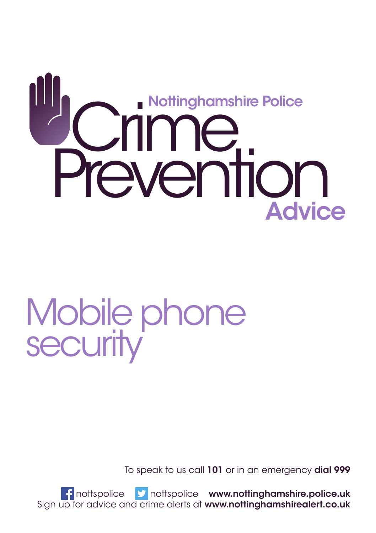# **Scrime**<br>Prevention Nottinghamshire Police **Advice**

## Mobile phone **security**

To speak to us call 101 or in an emergency dial 999

f nottspolice **y** nottspolice www.nottinghamshire.police.uk Sign up for advice and crime alerts at www.nottinghamshirealert.co.uk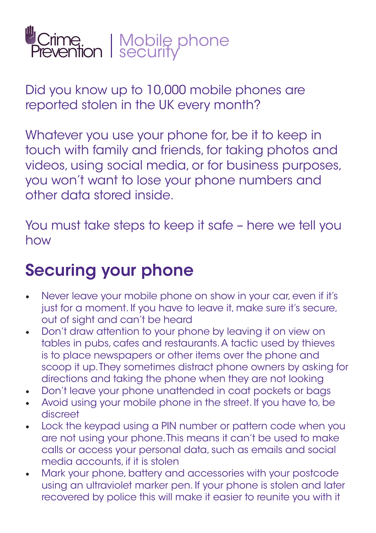

Did you know up to 10,000 mobile phones are reported stolen in the UK every month?

Whatever you use your phone for, be it to keep in touch with family and friends, for taking photos and videos, using social media, or for business purposes, you won't want to lose your phone numbers and other data stored inside.

You must take steps to keep it safe – here we tell you how

#### Securing your phone

- Never leave your mobile phone on show in your car, even if it's just for a moment. If you have to leave it, make sure it's secure, out of sight and can't be heard
- Don't draw attention to your phone by leaving it on view on tables in pubs, cafes and restaurants. A tactic used by thieves is to place newspapers or other items over the phone and scoop it up. They sometimes distract phone owners by asking for directions and taking the phone when they are not looking
- Don't leave your phone unattended in coat pockets or bags
- Avoid using your mobile phone in the street. If you have to, be discreet
- Lock the keypad using a PIN number or pattern code when you are not using your phone. This means it can't be used to make calls or access your personal data, such as emails and social media accounts, if it is stolen
- Mark your phone, battery and accessories with your postcode using an ultraviolet marker pen. If your phone is stolen and later recovered by police this will make it easier to reunite you with it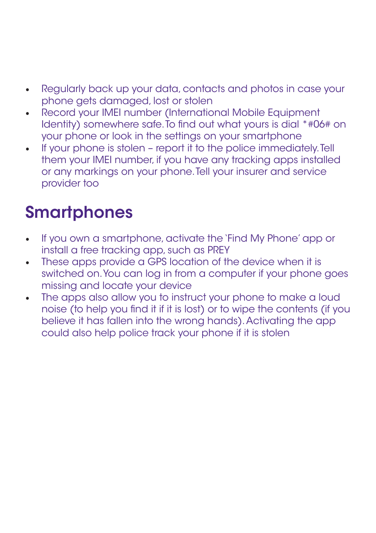- Regularly back up your data, contacts and photos in case your phone gets damaged, lost or stolen
- Record your IMEI number (International Mobile Equipment Identity) somewhere safe. To find out what yours is dial \*#06# on your phone or look in the settings on your smartphone
- If your phone is stolen report it to the police immediately. Tell them your IMEI number, if you have any tracking apps installed or any markings on your phone. Tell your insurer and service provider too

#### **Smartphones**

- If you own a smartphone, activate the 'Find My Phone' app or install a free tracking app, such as PREY
- These apps provide a GPS location of the device when it is switched on. You can log in from a computer if your phone goes missing and locate your device
- The apps also allow you to instruct your phone to make a loud noise (to help you find it if it is lost) or to wipe the contents (if you believe it has fallen into the wrong hands). Activating the app could also help police track your phone if it is stolen